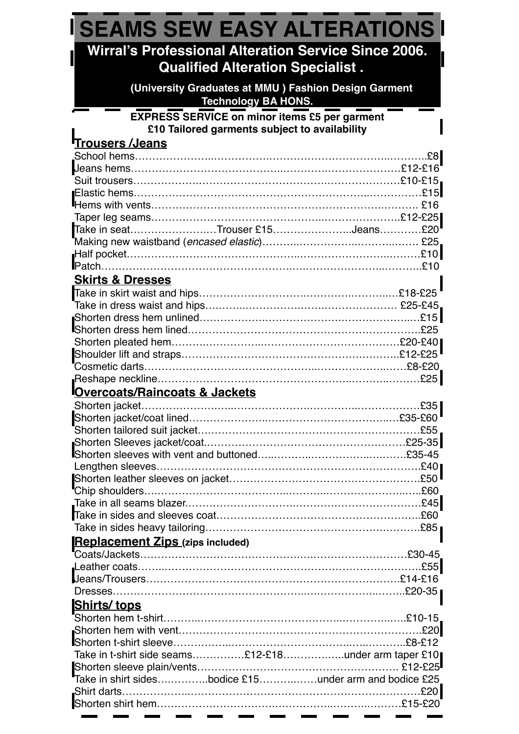## **SEAMS SEW EASY ALTERATIONS IN SEAMS SEW EASY ALTERATIONS IN SERVICE SINCE 2006.**

 **Qualified Alteration Specialist .** 

**(University Graduates at MMU ) Fashion Design Garment Technology BA HONS.**

**EXPRESS SERVICE on minor items £5 per garment £10 Tailored garments subject to availability** 

## **Trousers /Jeans**

|                                          | Take in seatTrouser £15Jeans£20                       |  |
|------------------------------------------|-------------------------------------------------------|--|
|                                          |                                                       |  |
|                                          |                                                       |  |
|                                          |                                                       |  |
| <b>Skirts &amp; Dresses</b>              |                                                       |  |
|                                          |                                                       |  |
|                                          |                                                       |  |
|                                          |                                                       |  |
|                                          |                                                       |  |
|                                          |                                                       |  |
|                                          |                                                       |  |
|                                          |                                                       |  |
|                                          |                                                       |  |
| <b>Overcoats/Raincoats &amp; Jackets</b> |                                                       |  |
|                                          |                                                       |  |
|                                          |                                                       |  |
|                                          |                                                       |  |
|                                          |                                                       |  |
|                                          |                                                       |  |
|                                          |                                                       |  |
|                                          |                                                       |  |
|                                          |                                                       |  |
|                                          |                                                       |  |
|                                          |                                                       |  |
|                                          |                                                       |  |
| <b>Replacement Zips (zips included)</b>  |                                                       |  |
|                                          |                                                       |  |
|                                          |                                                       |  |
|                                          |                                                       |  |
|                                          |                                                       |  |
| <b>Shirts/ tops</b>                      |                                                       |  |
|                                          |                                                       |  |
|                                          |                                                       |  |
|                                          |                                                       |  |
|                                          | Take in t-shirt side seams£12-£18under arm taper £10  |  |
|                                          |                                                       |  |
|                                          | Take in shirt sidesbodice £15under arm and bodice £25 |  |
|                                          |                                                       |  |
|                                          |                                                       |  |